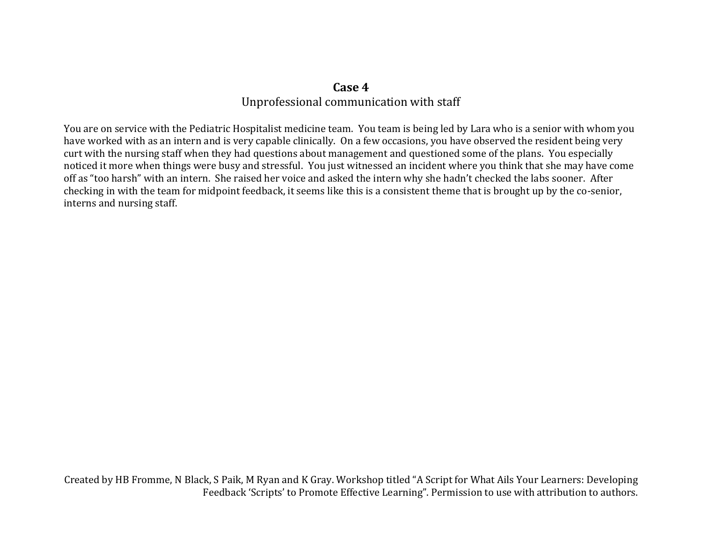## **Case 4** Unprofessional communication with staff

You are on service with the Pediatric Hospitalist medicine team. You team is being led by Lara who is a senior with whom you have worked with as an intern and is very capable clinically. On a few occasions, you have observed the resident being very curt with the nursing staff when they had questions about management and questioned some of the plans. You especially noticed it more when things were busy and stressful. You just witnessed an incident where you think that she may have come off as "too harsh" with an intern. She raised her voice and asked the intern why she hadn't checked the labs sooner. After checking in with the team for midpoint feedback, it seems like this is a consistent theme that is brought up by the co-senior, interns and nursing staff.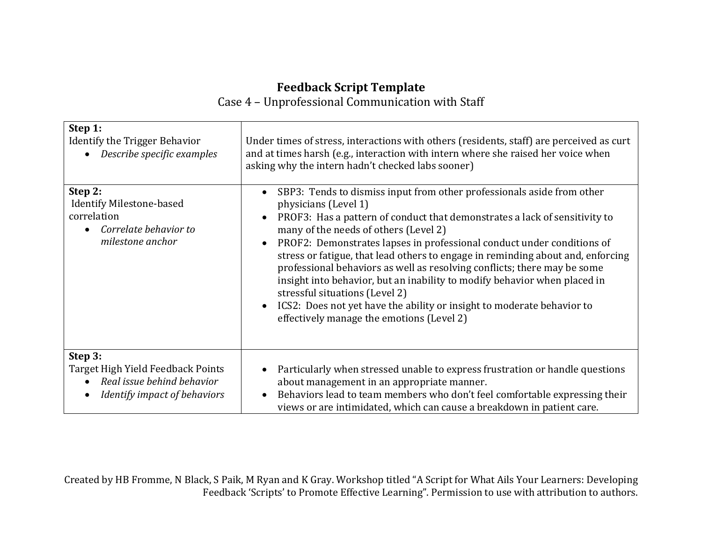## **Feedback Script Template**

Case 4 – Unprofessional Communication with Staff

| Step 1:                                                                                                             | Under times of stress, interactions with others (residents, staff) are perceived as curt                                                                                                                                                                                                                                                                                                                                                                                                                                                                                                                                                                                                             |
|---------------------------------------------------------------------------------------------------------------------|------------------------------------------------------------------------------------------------------------------------------------------------------------------------------------------------------------------------------------------------------------------------------------------------------------------------------------------------------------------------------------------------------------------------------------------------------------------------------------------------------------------------------------------------------------------------------------------------------------------------------------------------------------------------------------------------------|
| Identify the Trigger Behavior                                                                                       | and at times harsh (e.g., interaction with intern where she raised her voice when                                                                                                                                                                                                                                                                                                                                                                                                                                                                                                                                                                                                                    |
| Describe specific examples                                                                                          | asking why the intern hadn't checked labs sooner)                                                                                                                                                                                                                                                                                                                                                                                                                                                                                                                                                                                                                                                    |
| Step 2:<br><b>Identify Milestone-based</b><br>correlation<br>Correlate behavior to<br>$\bullet$<br>milestone anchor | SBP3: Tends to dismiss input from other professionals aside from other<br>physicians (Level 1)<br>PROF3: Has a pattern of conduct that demonstrates a lack of sensitivity to<br>many of the needs of others (Level 2)<br>PROF2: Demonstrates lapses in professional conduct under conditions of<br>stress or fatigue, that lead others to engage in reminding about and, enforcing<br>professional behaviors as well as resolving conflicts; there may be some<br>insight into behavior, but an inability to modify behavior when placed in<br>stressful situations (Level 2)<br>ICS2: Does not yet have the ability or insight to moderate behavior to<br>effectively manage the emotions (Level 2) |
| Step 3:                                                                                                             | Particularly when stressed unable to express frustration or handle questions                                                                                                                                                                                                                                                                                                                                                                                                                                                                                                                                                                                                                         |
| Target High Yield Feedback Points                                                                                   | about management in an appropriate manner.                                                                                                                                                                                                                                                                                                                                                                                                                                                                                                                                                                                                                                                           |
| Real issue behind behavior                                                                                          | Behaviors lead to team members who don't feel comfortable expressing their                                                                                                                                                                                                                                                                                                                                                                                                                                                                                                                                                                                                                           |
| Identify impact of behaviors                                                                                        | views or are intimidated, which can cause a breakdown in patient care.                                                                                                                                                                                                                                                                                                                                                                                                                                                                                                                                                                                                                               |

Created by HB Fromme, N Black, S Paik, M Ryan and K Gray. Workshop titled "A Script for What Ails Your Learners: Developing Feedback 'Scripts' to Promote Effective Learning". Permission to use with attribution to authors.